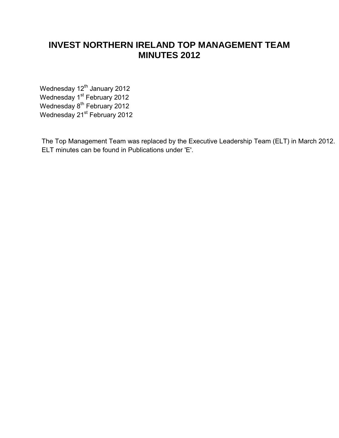# **INVEST NORTHERN IRELAND TOP MANAGEMENT TEAM MINUTES 2012**

[Wednesday 12](#page-1-0)<sup>th</sup> January 2012 Wednesday 1<sup>st</sup> [February 2012](#page-2-0) Wednesday 8<sup>th</sup> [February 2012](#page-4-0) Wednesday 21<sup>st</sup> February 2012

 The Top Management Team was replaced by the Executive Leadership Team (ELT) in March 2012. ELT minutes can be found in Publications under 'E'.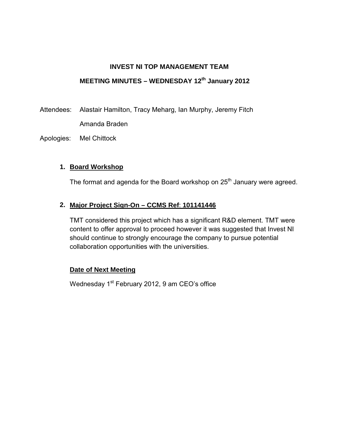# <span id="page-1-0"></span>**INVEST NI TOP MANAGEMENT TEAM MEETING MINUTES – WEDNESDAY 12th January 2012**

Attendees: Alastair Hamilton, Tracy Meharg, Ian Murphy, Jeremy Fitch Amanda Braden

Apologies: Mel Chittock

## **1. Board Workshop**

The format and agenda for the Board workshop on 25<sup>th</sup> January were agreed.

# **2. Major Project Sign-On – CCMS Ref**: **101141446**

TMT considered this project which has a significant R&D element. TMT were content to offer approval to proceed however it was suggested that Invest NI should continue to strongly encourage the company to pursue potential collaboration opportunities with the universities.

# **Date of Next Meeting**

Wednesday 1<sup>st</sup> February 2012, 9 am CEO's office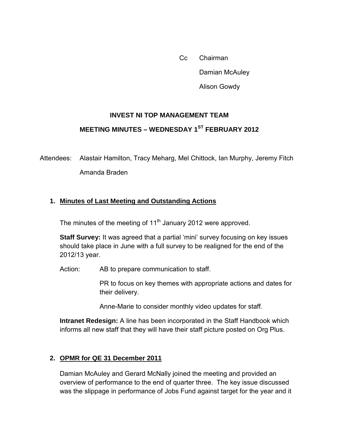Cc Chairman Damian McAuley Alison Gowdy

## **INVEST NI TOP MANAGEMENT TEAM**

# <span id="page-2-0"></span> **MEETING MINUTES – WEDNESDAY 1ST FEBRUARY 2012**

Attendees: Alastair Hamilton, Tracy Meharg, Mel Chittock, Ian Murphy, Jeremy Fitch Amanda Braden

#### **1. Minutes of Last Meeting and Outstanding Actions**

The minutes of the meeting of  $11<sup>th</sup>$  January 2012 were approved.

**Staff Survey:** It was agreed that a partial 'mini' survey focusing on key issues should take place in June with a full survey to be realigned for the end of the 2012/13 year.

Action: AB to prepare communication to staff.

PR to focus on key themes with appropriate actions and dates for their delivery.

Anne-Marie to consider monthly video updates for staff.

**Intranet Redesign:** A line has been incorporated in the Staff Handbook which informs all new staff that they will have their staff picture posted on Org Plus.

#### **2. OPMR for QE 31 December 2011**

Damian McAuley and Gerard McNally joined the meeting and provided an overview of performance to the end of quarter three. The key issue discussed was the slippage in performance of Jobs Fund against target for the year and it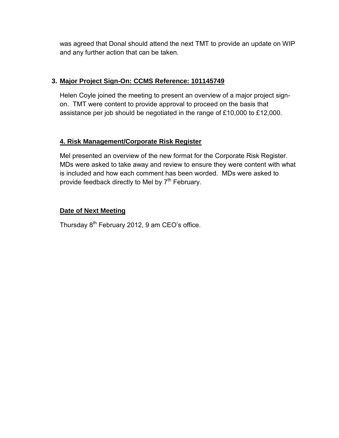was agreed that Donal should attend the next TMT to provide an update on WIP and any further action that can be taken.

# **3. Major Project Sign-On: CCMS Reference: 101145749**

Helen Coyle joined the meeting to present an overview of a major project signon. TMT were content to provide approval to proceed on the basis that assistance per job should be negotiated in the range of £10,000 to £12,000.

## **4. Risk Management/Corporate Risk Register**

Mel presented an overview of the new format for the Corporate Risk Register. MDs were asked to take away and review to ensure they were content with what is included and how each comment has been worded. MDs were asked to provide feedback directly to Mel by  $7<sup>th</sup>$  February.

## **Date of Next Meeting**

Thursday 8<sup>th</sup> February 2012, 9 am CEO's office.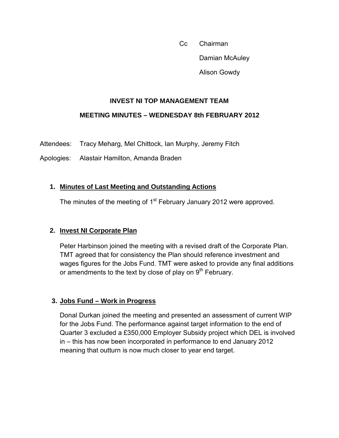Cc Chairman Damian McAuley Alison Gowdy

#### **INVEST NI TOP MANAGEMENT TEAM**

#### <span id="page-4-0"></span> **MEETING MINUTES – WEDNESDAY 8th FEBRUARY 2012**

Attendees: Tracy Meharg, Mel Chittock, Ian Murphy, Jeremy Fitch

Apologies: Alastair Hamilton, Amanda Braden

#### **1. Minutes of Last Meeting and Outstanding Actions**

The minutes of the meeting of 1<sup>st</sup> February January 2012 were approved.

#### **2. Invest NI Corporate Plan**

Peter Harbinson joined the meeting with a revised draft of the Corporate Plan. TMT agreed that for consistency the Plan should reference investment and wages figures for the Jobs Fund. TMT were asked to provide any final additions or amendments to the text by close of play on  $9<sup>th</sup>$  February.

#### **3. Jobs Fund – Work in Progress**

Donal Durkan joined the meeting and presented an assessment of current WIP for the Jobs Fund. The performance against target information to the end of Quarter 3 excluded a £350,000 Employer Subsidy project which DEL is involved in – this has now been incorporated in performance to end January 2012 meaning that outturn is now much closer to year end target.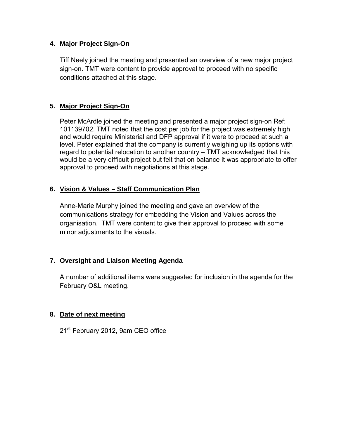#### **4. Major Project Sign-On**

Tiff Neely joined the meeting and presented an overview of a new major project sign-on. TMT were content to provide approval to proceed with no specific conditions attached at this stage.

## **5. Major Project Sign-On**

Peter McArdle joined the meeting and presented a major project sign-on Ref: 101139702. TMT noted that the cost per job for the project was extremely high and would require Ministerial and DFP approval if it were to proceed at such a level. Peter explained that the company is currently weighing up its options with regard to potential relocation to another country – TMT acknowledged that this would be a very difficult project but felt that on balance it was appropriate to offer approval to proceed with negotiations at this stage.

#### **6. Vision & Values – Staff Communication Plan**

Anne-Marie Murphy joined the meeting and gave an overview of the communications strategy for embedding the Vision and Values across the organisation. TMT were content to give their approval to proceed with some minor adjustments to the visuals.

#### **7. Oversight and Liaison Meeting Agenda**

A number of additional items were suggested for inclusion in the agenda for the February O&L meeting.

## **8. Date of next meeting**

21<sup>st</sup> February 2012, 9am CEO office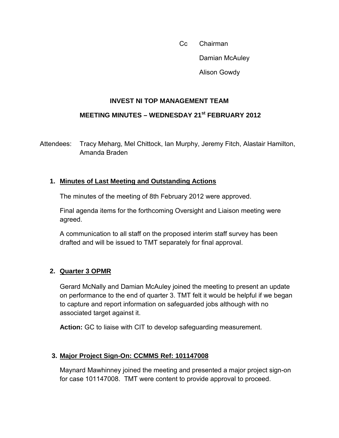Cc Chairman Damian McAuley Alison Gowdy

#### **INVEST NI TOP MANAGEMENT TEAM**

## <span id="page-6-0"></span> **MEETING MINUTES – WEDNESDAY 21st FEBRUARY 2012**

Attendees: Tracy Meharg, Mel Chittock, Ian Murphy, Jeremy Fitch, Alastair Hamilton, Amanda Braden

## **1. Minutes of Last Meeting and Outstanding Actions**

The minutes of the meeting of 8th February 2012 were approved.

Final agenda items for the forthcoming Oversight and Liaison meeting were agreed.

A communication to all staff on the proposed interim staff survey has been drafted and will be issued to TMT separately for final approval.

#### **2. Quarter 3 OPMR**

Gerard McNally and Damian McAuley joined the meeting to present an update on performance to the end of quarter 3. TMT felt it would be helpful if we began to capture and report information on safeguarded jobs although with no associated target against it.

**Action:** GC to liaise with CIT to develop safeguarding measurement.

## **3. Major Project Sign-On: CCMMS Ref: 101147008**

Maynard Mawhinney joined the meeting and presented a major project sign-on for case 101147008. TMT were content to provide approval to proceed.